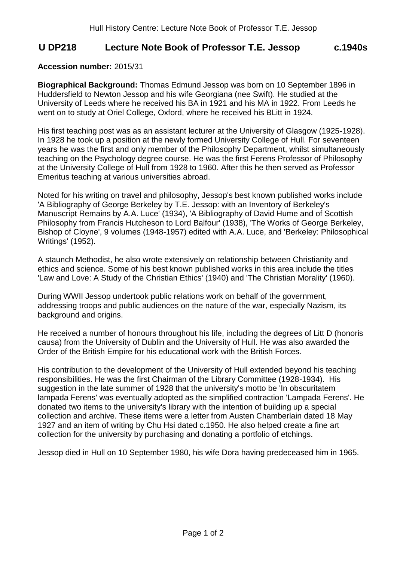## **U DP218 Lecture Note Book of Professor T.E. Jessop c.1940s**

## **Accession number:** 2015/31

**Biographical Background:** Thomas Edmund Jessop was born on 10 September 1896 in Huddersfield to Newton Jessop and his wife Georgiana (nee Swift). He studied at the University of Leeds where he received his BA in 1921 and his MA in 1922. From Leeds he went on to study at Oriel College, Oxford, where he received his BLitt in 1924.

His first teaching post was as an assistant lecturer at the University of Glasgow (1925-1928). In 1928 he took up a position at the newly formed University College of Hull. For seventeen years he was the first and only member of the Philosophy Department, whilst simultaneously teaching on the Psychology degree course. He was the first Ferens Professor of Philosophy at the University College of Hull from 1928 to 1960. After this he then served as Professor Emeritus teaching at various universities abroad.

Noted for his writing on travel and philosophy, Jessop's best known published works include 'A Bibliography of George Berkeley by T.E. Jessop: with an Inventory of Berkeley's Manuscript Remains by A.A. Luce' (1934), 'A Bibliography of David Hume and of Scottish Philosophy from Francis Hutcheson to Lord Balfour' (1938), 'The Works of George Berkeley, Bishop of Cloyne', 9 volumes (1948-1957) edited with A.A. Luce, and 'Berkeley: Philosophical Writings' (1952).

A staunch Methodist, he also wrote extensively on relationship between Christianity and ethics and science. Some of his best known published works in this area include the titles 'Law and Love: A Study of the Christian Ethics' (1940) and 'The Christian Morality' (1960).

During WWII Jessop undertook public relations work on behalf of the government, addressing troops and public audiences on the nature of the war, especially Nazism, its background and origins.

He received a number of honours throughout his life, including the degrees of Litt D (honoris causa) from the University of Dublin and the University of Hull. He was also awarded the Order of the British Empire for his educational work with the British Forces.

His contribution to the development of the University of Hull extended beyond his teaching responsibilities. He was the first Chairman of the Library Committee (1928-1934). His suggestion in the late summer of 1928 that the university's motto be 'In obscuritatem lampada Ferens' was eventually adopted as the simplified contraction 'Lampada Ferens'. He donated two items to the university's library with the intention of building up a special collection and archive. These items were a letter from Austen Chamberlain dated 18 May 1927 and an item of writing by Chu Hsi dated c.1950. He also helped create a fine art collection for the university by purchasing and donating a portfolio of etchings.

Jessop died in Hull on 10 September 1980, his wife Dora having predeceased him in 1965.